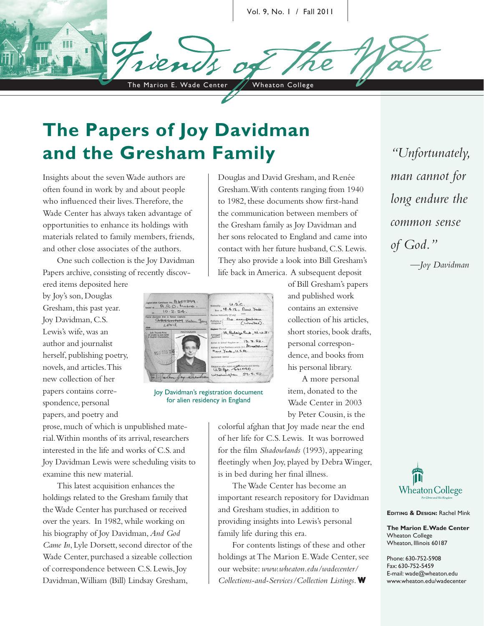The Marion E. Wade Center / Wheaton College Vol. 9, No. 1 / Fall 2011

# **The Papers of Joy Davidman and the Gresham Family** *"Unfortunately,*

Insights about the seven Wade authors are often found in work by and about people who influenced their lives. Therefore, the Wade Center has always taken advantage of opportunities to enhance its holdings with materials related to family members, friends, and other close associates of the authors.

One such collection is the Joy Davidman Papers archive, consisting of recently discov-

ered items deposited here by Joy's son, Douglas Gresham, this past year. Joy Davidman, C.S. Lewis's wife, was an author and journalist herself, publishing poetry, novels, and articles. This new collection of her papers contains correspondence, personal papers, and poetry and

Gresham. With contents ranging from 1940 to 1982, these documents show first-hand the communication between members of the Gresham family as Joy Davidman and her sons relocated to England and came into contact with her future husband, C.S. Lewis. They also provide a look into Bill Gresham's life back in America. A subsequent deposit

Douglas and David Gresham, and Renée

| egistration Certificate No. A 607299.<br>lowed at R.R.O. Metro.<br>10.2.54. |            | U.S.C.<br>Notisnality<br>Ave to 18.4.15 . Rew York.                                                                                              |
|-----------------------------------------------------------------------------|------------|--------------------------------------------------------------------------------------------------------------------------------------------------|
|                                                                             |            |                                                                                                                                                  |
| Left Thumb Print<br>(if unable to sign name)<br>in English Characters),     | PHOTOGRAPH | Addressed (ld, Belairy Park, N.W.3.<br>Residence<br>Arrival in United Kingdom on 13. 2. 52.<br>Address of last Residence cutside U.K. Streakslee |
| 1101176                                                                     |            | Rew York, U.S.A.<br>Government Service<br>Passport or other popers as to Nationality and Identity.                                               |
|                                                                             |            | $U.S.P_{b}t. 661090.$                                                                                                                            |

Joy Davidman's registration document for alien residency in England

prose, much of which is unpublished material. Within months of its arrival, researchers interested in the life and works of C.S. and Joy Davidman Lewis were scheduling visits to examine this new material.

This latest acquisition enhances the holdings related to the Gresham family that the Wade Center has purchased or received over the years. In 1982, while working on his biography of Joy Davidman, *And God Came In*, Lyle Dorsett, second director of the Wade Center, purchased a sizeable collection of correspondence between C.S. Lewis, Joy Davidman, William (Bill) Lindsay Gresham,

of Bill Gresham's papers and published work contains an extensive collection of his articles, short stories, book drafts, personal correspondence, and books from his personal library.

A more personal item, donated to the Wade Center in 2003 by Peter Cousin, is the

colorful afghan that Joy made near the end of her life for C.S. Lewis. It was borrowed for the film *Shadowlands* (1993), appearing fleetingly when Joy, played by Debra Winger, is in bed during her final illness.

The Wade Center has become an important research repository for Davidman and Gresham studies, in addition to providing insights into Lewis's personal family life during this era.

For contents listings of these and other holdings at The Marion E. Wade Center, see our website: *www.wheaton.edu/wadecenter/ Collections-and-Services/Collection Listings*. **W**

*man cannot for long endure the common sense of God."*

*—Joy Davidman*



**EDITING & DESIGN: Rachel Mink** 

**The Marion E. Wade Center** Wheaton College Wheaton, Illinois 60187

Phone: 630-752-5908 Fax: 630-752-5459 E-mail: wade@wheaton.edu www.wheaton.edu/wadecenter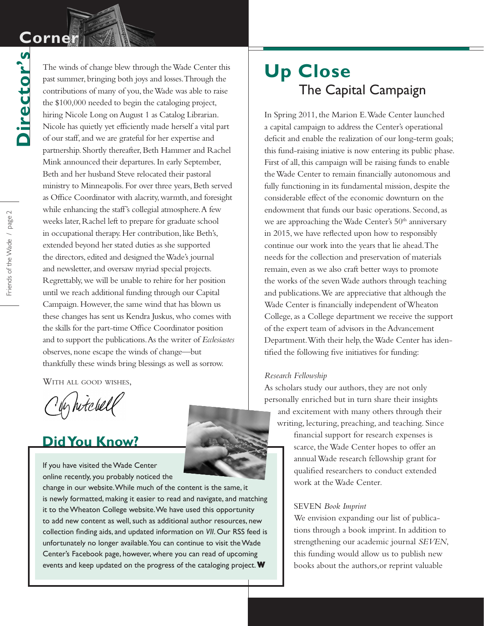# **Corner Corner**

**Director's**

Director's

The winds of change blew through the Wade Center this past summer, bringing both joys and losses. Through the contributions of many of you, the Wade was able to raise the \$100,000 needed to begin the cataloging project, hiring Nicole Long on August 1 as Catalog Librarian. Nicole has quietly yet efficiently made herself a vital part of our staff, and we are grateful for her expertise and partnership. Shortly thereafter, Beth Hammer and Rachel Mink announced their departures. In early September, Beth and her husband Steve relocated their pastoral ministry to Minneapolis. For over three years, Beth served as Office Coordinator with alacrity, warmth, and foresight while enhancing the staff's collegial atmosphere. A few weeks later, Rachel left to prepare for graduate school in occupational therapy. Her contribution, like Beth's, extended beyond her stated duties as she supported the directors, edited and designed the Wade's journal and newsletter, and oversaw myriad special projects. Regrettably, we will be unable to rehire for her position until we reach additional funding through our Capital Campaign. However, the same wind that has blown us these changes has sent us Kendra Juskus, who comes with the skills for the part-time Office Coordinator position and to support the publications. As the writer of *Ecclesiastes* observes, none escape the winds of change—but thankfully these winds bring blessings as well as sorrow.

With all good wishes,

y hitchell

## **Did You Know?**

If you have visited the Wade Center online recently, you probably noticed the

change in our website. While much of the content is the same, it is newly formatted, making it easier to read and navigate, and matching it to the Wheaton College website. We have used this opportunity to add new content as well, such as additional author resources, new collection finding aids, and updated information on *VII*. Our RSS feed is unfortunately no longer available. You can continue to visit the Wade Center's Facebook page, however, where you can read of upcoming events and keep updated on the progress of the cataloging project.**W**

## **Up Close** The Capital Campaign

In Spring 2011, the Marion E. Wade Center launched a capital campaign to address the Center's operational deficit and enable the realization of our long-term goals; this fund-raising iniative is now entering its public phase. First of all, this campaign will be raising funds to enable the Wade Center to remain financially autonomous and fully functioning in its fundamental mission, despite the considerable effect of the economic downturn on the endowment that funds our basic operations. Second, as we are approaching the Wade Center's 50<sup>th</sup> anniversary in 2015, we have reflected upon how to responsibly continue our work into the years that lie ahead. The needs for the collection and preservation of materials remain, even as we also craft better ways to promote the works of the seven Wade authors through teaching and publications. We are appreciative that although the Wade Center is financially independent of Wheaton College, as a College department we receive the support of the expert team of advisors in the Advancement Department. With their help, the Wade Center has identified the following five initiatives for funding:

#### *Research Fellowship*

As scholars study our authors, they are not only personally enriched but in turn share their insights and excitement with many others through their writing, lecturing, preaching, and teaching. Since

> financial support for research expenses is scarce, the Wade Center hopes to offer an annual Wade research fellowship grant for qualified researchers to conduct extended work at the Wade Center.

#### SEVEN *Book Imprint*

We envision expanding our list of publications through a book imprint. In addition to strengthening our academic journal *SEVEN*, this funding would allow us to publish new books about the authors,or reprint valuable

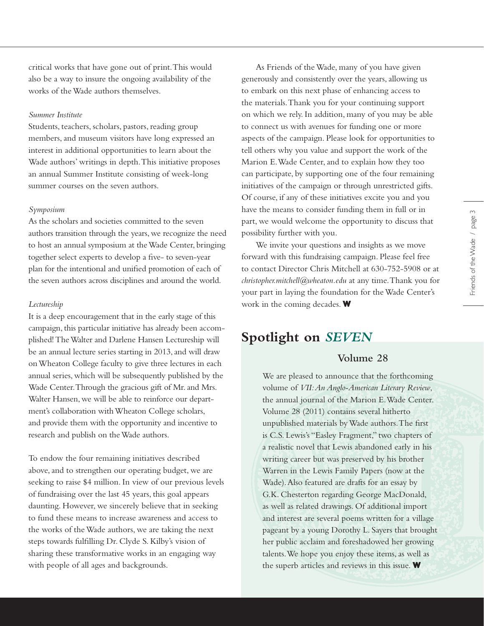Friends of the Wade / page 3

Friends of the Wade / page 3

critical works that have gone out of print. This would also be a way to insure the ongoing availability of the works of the Wade authors themselves.

#### *Summer Institute*

Students, teachers, scholars, pastors, reading group members, and museum visitors have long expressed an interest in additional opportunities to learn about the Wade authors' writings in depth. This initiative proposes an annual Summer Institute consisting of week-long summer courses on the seven authors.

#### *Symposium*

As the scholars and societies committed to the seven authors transition through the years, we recognize the need to host an annual symposium at the Wade Center, bringing together select experts to develop a five- to seven-year plan for the intentional and unified promotion of each of the seven authors across disciplines and around the world.

#### *Lectureship*

It is a deep encouragement that in the early stage of this campaign, this particular initiative has already been accomplished! The Walter and Darlene Hansen Lectureship will be an annual lecture series starting in 2013, and will draw on Wheaton College faculty to give three lectures in each annual series, which will be subsequently published by the Wade Center. Through the gracious gift of Mr. and Mrs. Walter Hansen, we will be able to reinforce our department's collaboration with Wheaton College scholars, and provide them with the opportunity and incentive to research and publish on the Wade authors.

To endow the four remaining initiatives described above, and to strengthen our operating budget, we are seeking to raise \$4 million. In view of our previous levels of fundraising over the last 45 years, this goal appears daunting. However, we sincerely believe that in seeking to fund these means to increase awareness and access to the works of the Wade authors, we are taking the next steps towards fulfilling Dr. Clyde S. Kilby's vision of sharing these transformative works in an engaging way with people of all ages and backgrounds.

As Friends of the Wade, many of you have given generously and consistently over the years, allowing us to embark on this next phase of enhancing access to the materials. Thank you for your continuing support on which we rely. In addition, many of you may be able to connect us with avenues for funding one or more aspects of the campaign. Please look for opportunities to tell others why you value and support the work of the Marion E. Wade Center, and to explain how they too can participate, by supporting one of the four remaining initiatives of the campaign or through unrestricted gifts. Of course, if any of these initiatives excite you and you have the means to consider funding them in full or in part, we would welcome the opportunity to discuss that possibility further with you.

We invite your questions and insights as we move forward with this fundraising campaign. Please feel free to contact Director Chris Mitchell at 630-752-5908 or at *christopher.mitchell@wheaton.edu* at any time. Thank you for your part in laying the foundation for the Wade Center's work in the coming decades. **W**

### **Spotlight on** *SEVEN*

### **Volume 28**

We are pleased to announce that the forthcoming volume of *VII: An Anglo-American Literary Review*, the annual journal of the Marion E. Wade Center. Volume 28 (2011) contains several hitherto unpublished materials by Wade authors. The first is C.S. Lewis's "Easley Fragment," two chapters of a realistic novel that Lewis abandoned early in his writing career but was preserved by his brother Warren in the Lewis Family Papers (now at the Wade). Also featured are drafts for an essay by G.K. Chesterton regarding George MacDonald, as well as related drawings. Of additional import and interest are several poems written for a village pageant by a young Dorothy L. Sayers that brought her public acclaim and foreshadowed her growing talents. We hope you enjoy these items, as well as the superb articles and reviews in this issue. **W**